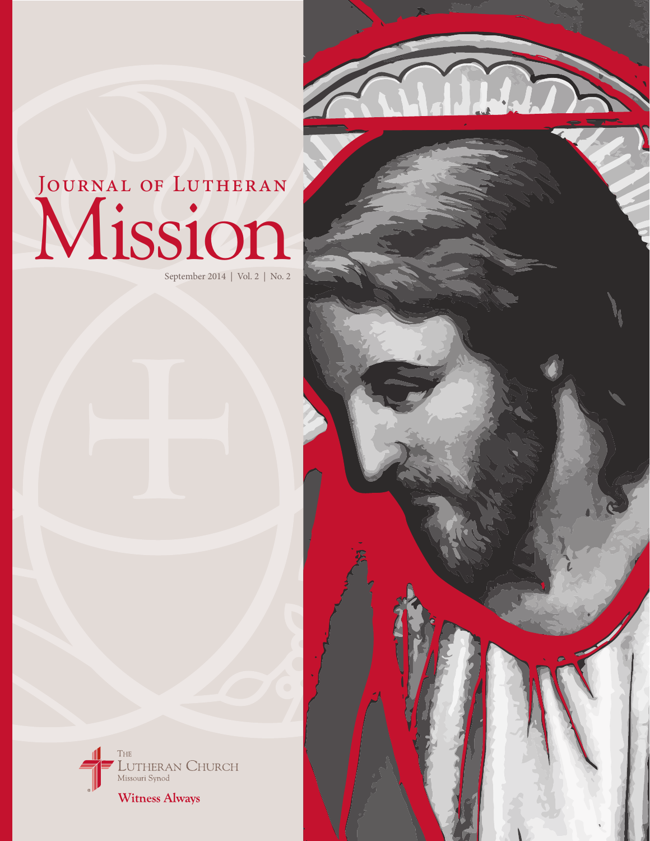# Mission JOURNAL OF LUTHERAN

September 2014 | Vol. 2 | No. 2

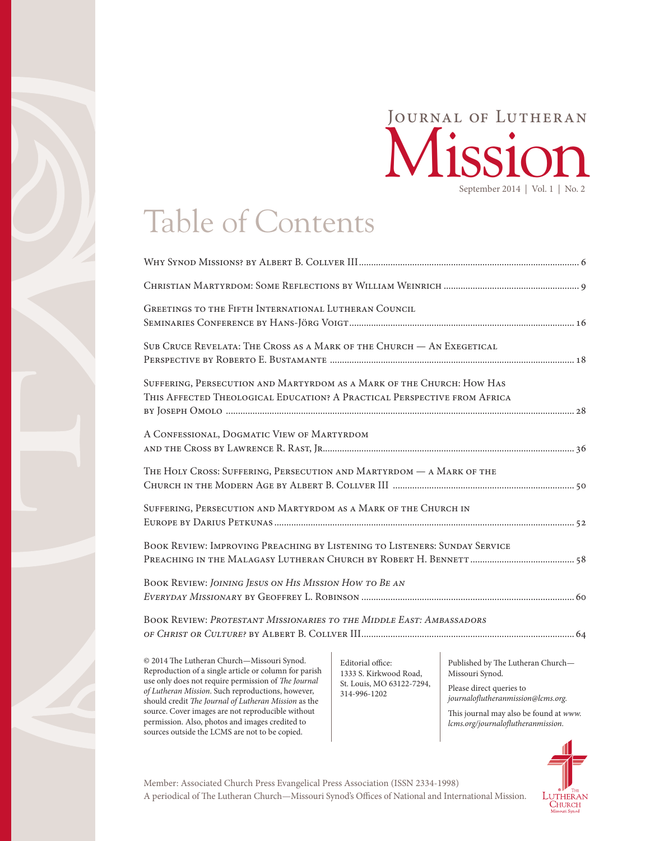### September 2014 | Vol. 1 | No. 2 Mission Journal of Lutheran

## Table of Contents

| <b>GREETINGS TO THE FIFTH INTERNATIONAL LUTHERAN COUNCIL</b>                                                                                      |
|---------------------------------------------------------------------------------------------------------------------------------------------------|
| SUB CRUCE REVELATA: THE CROSS AS A MARK OF THE CHURCH — AN EXEGETICAL                                                                             |
| SUFFERING, PERSECUTION AND MARTYRDOM AS A MARK OF THE CHURCH: HOW HAS<br>THIS AFFECTED THEOLOGICAL EDUCATION? A PRACTICAL PERSPECTIVE FROM AFRICA |
| A CONFESSIONAL, DOGMATIC VIEW OF MARTYRDOM                                                                                                        |
| THE HOLY CROSS: SUFFERING, PERSECUTION AND MARTYRDOM - A MARK OF THE                                                                              |
| SUFFERING, PERSECUTION AND MARTYRDOM AS A MARK OF THE CHURCH IN                                                                                   |
| BOOK REVIEW: IMPROVING PREACHING BY LISTENING TO LISTENERS: SUNDAY SERVICE                                                                        |
| BOOK REVIEW: JOINING JESUS ON HIS MISSION HOW TO BE AN                                                                                            |
| <b>BOOK REVIEW: PROTESTANT MISSIONARIES TO THE MIDDLE EAST: AMBASSADORS</b>                                                                       |

 $@$  2014 The Lutheran Church—Missouri Synod. Reproduction of a single article or column for parish use only does not require permission of The Journal of Lutheran Mission. Such reproductions, however, should credit The Journal of Lutheran Mission as the source. Cover images are not reproducible without permission. Also, photos and images credited to sources outside the LCMS are not to be copied.

Editorial office: 1333 S. Kirkwood Road, St. Louis, MO 63122-7294, 314-996-1202

Published by The Lutheran Church-Missouri Synod.

Please direct queries to journaloflutheranmission@lcms.org.

This journal may also be found at www. lcms.org/journaloflutheranmission.



A periodical of The Lutheran Church—Missouri Synod's Offices of National and International Mission. Member: Associated Church Press Evangelical Press Association (ISSN 2334-1998)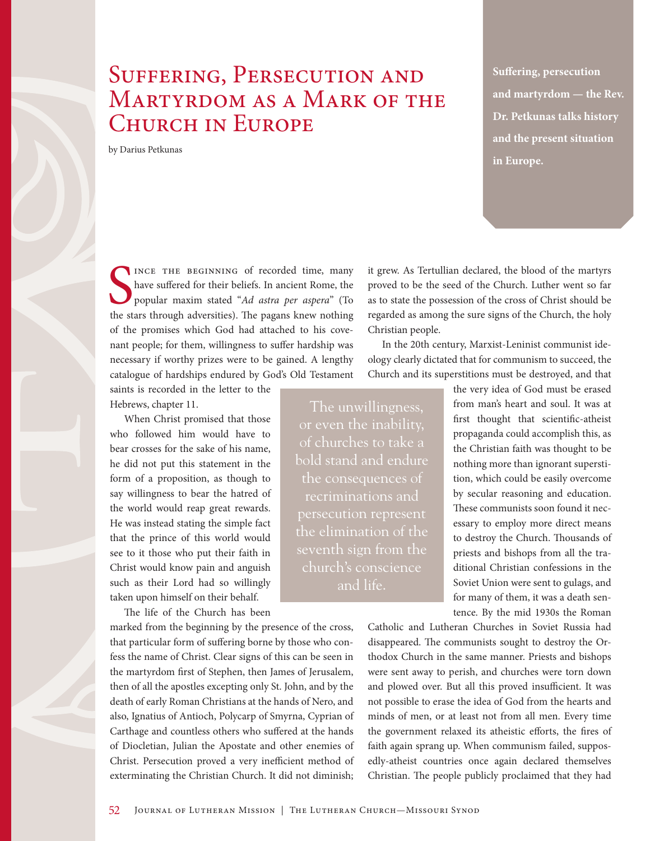### SUFFERING, PERSECUTION AND Martyrdom as a Mark of the CHURCH IN EUROPE

by Darius Petkunas

**Suffering, persecution and martyrdom — the Rev. Dr. Petkunas talks history and the present situation in Europe.**

INCE THE BEGINNING of recorded time, many<br>have suffered for their beliefs. In ancient Rome, the<br>popular maxim stated "Ad astra per aspera" (To<br>the stars through adversities). The pagans knew nothing INCE THE BEGINNING of recorded time, many have suffered for their beliefs. In ancient Rome, the popular maxim stated "Ad astra per aspera" (To of the promises which God had attached to his covenant people; for them, willingness to suffer hardship was necessary if worthy prizes were to be gained. A lengthy catalogue of hardships endured by God's Old Testament

saints is recorded in the letter to the Hebrews, chapter 11.

When Christ promised that those who followed him would have to bear crosses for the sake of his name, he did not put this statement in the form of a proposition, as though to say willingness to bear the hatred of the world would reap great rewards. He was instead stating the simple fact that the prince of this world would see to it those who put their faith in Christ would know pain and anguish such as their Lord had so willingly taken upon himself on their behalf.

The life of the Church has been

marked from the beginning by the presence of the cross, that particular form of suffering borne by those who confess the name of Christ. Clear signs of this can be seen in the martyrdom first of Stephen, then James of Jerusalem, then of all the apostles excepting only St. John, and by the death of early Roman Christians at the hands of Nero, and also, Ignatius of Antioch, Polycarp of Smyrna, Cyprian of Carthage and countless others who suffered at the hands of Diocletian, Julian the Apostate and other enemies of Christ. Persecution proved a very inefficient method of exterminating the Christian Church. It did not diminish; it grew. As Tertullian declared, the blood of the martyrs proved to be the seed of the Church. Luther went so far as to state the possession of the cross of Christ should be regarded as among the sure signs of the Church, the holy Christian people.

In the 20th century, Marxist-Leninist communist ideology clearly dictated that for communism to succeed, the Church and its superstitions must be destroyed, and that

The unwillingness, of churches to take a bold stand and endure recriminations and the elimination of the seventh sign from the church's conscience

the very idea of God must be erased from man's heart and soul. It was at first thought that scientific-atheist propaganda could accomplish this, as the Christian faith was thought to be nothing more than ignorant superstition, which could be easily overcome by secular reasoning and education. These communists soon found it necessary to employ more direct means to destroy the Church. Thousands of priests and bishops from all the traditional Christian confessions in the Soviet Union were sent to gulags, and for many of them, it was a death sentence. By the mid 1930s the Roman

Catholic and Lutheran Churches in Soviet Russia had disappeared. The communists sought to destroy the Orthodox Church in the same manner. Priests and bishops were sent away to perish, and churches were torn down and plowed over. But all this proved insufficient. It was not possible to erase the idea of God from the hearts and minds of men, or at least not from all men. Every time the government relaxed its atheistic efforts, the fires of faith again sprang up. When communism failed, supposedly-atheist countries once again declared themselves Christian. The people publicly proclaimed that they had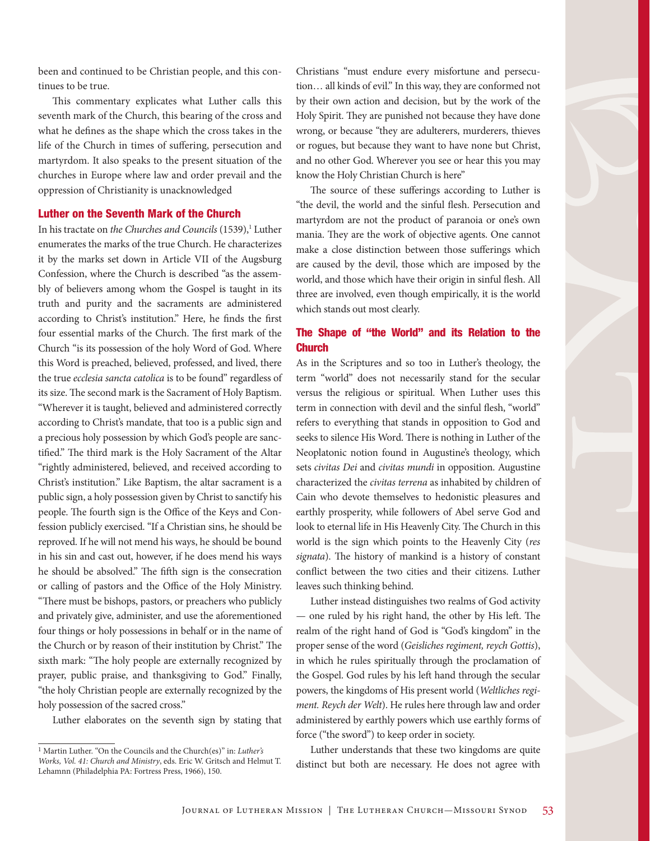been and continued to be Christian people, and this continues to be true.

This commentary explicates what Luther calls this seventh mark of the Church, this bearing of the cross and what he defines as the shape which the cross takes in the life of the Church in times of suffering, persecution and martyrdom. It also speaks to the present situation of the churches in Europe where law and order prevail and the oppression of Christianity is unacknowledged

#### Luther on the Seventh Mark of the Church

In his tractate on the Churches and Councils (1539),<sup>1</sup> Luther enumerates the marks of the true Church. He characterizes it by the marks set down in Article VII of the Augsburg Confession, where the Church is described "as the assembly of believers among whom the Gospel is taught in its truth and purity and the sacraments are administered according to Christ's institution." Here, he finds the first four essential marks of the Church. The first mark of the Church "is its possession of the holy Word of God. Where this Word is preached, believed, professed, and lived, there the true ecclesia sancta catolica is to be found" regardless of its size. The second mark is the Sacrament of Holy Baptism. "Wherever it is taught, believed and administered correctly according to Christ's mandate, that too is a public sign and a precious holy possession by which God's people are sanctified." The third mark is the Holy Sacrament of the Altar "rightly administered, believed, and received according to Christ's institution." Like Baptism, the altar sacrament is a public sign, a holy possession given by Christ to sanctify his people. The fourth sign is the Office of the Keys and Confession publicly exercised. "If a Christian sins, he should be reproved. If he will not mend his ways, he should be bound in his sin and cast out, however, if he does mend his ways he should be absolved." The fifth sign is the consecration or calling of pastors and the Office of the Holy Ministry. "There must be bishops, pastors, or preachers who publicly and privately give, administer, and use the aforementioned four things or holy possessions in behalf or in the name of the Church or by reason of their institution by Christ." The sixth mark: "The holy people are externally recognized by prayer, public praise, and thanksgiving to God." Finally, "the holy Christian people are externally recognized by the holy possession of the sacred cross."

Luther elaborates on the seventh sign by stating that

Christians "must endure every misfortune and persecution… all kinds of evil." In this way, they are conformed not by their own action and decision, but by the work of the Holy Spirit. They are punished not because they have done wrong, or because "they are adulterers, murderers, thieves or rogues, but because they want to have none but Christ, and no other God. Wherever you see or hear this you may know the Holy Christian Church is here"

The source of these sufferings according to Luther is "the devil, the world and the sinful flesh. Persecution and martyrdom are not the product of paranoia or one's own mania. They are the work of objective agents. One cannot make a close distinction between those sufferings which are caused by the devil, those which are imposed by the world, and those which have their origin in sinful flesh. All three are involved, even though empirically, it is the world which stands out most clearly.

#### The Shape of "the World" and its Relation to the **Church**

As in the Scriptures and so too in Luther's theology, the term "world" does not necessarily stand for the secular versus the religious or spiritual. When Luther uses this term in connection with devil and the sinful flesh, "world" refers to everything that stands in opposition to God and seeks to silence His Word. There is nothing in Luther of the Neoplatonic notion found in Augustine's theology, which sets civitas Dei and civitas mundi in opposition. Augustine characterized the civitas terrena as inhabited by children of Cain who devote themselves to hedonistic pleasures and earthly prosperity, while followers of Abel serve God and look to eternal life in His Heavenly City. The Church in this world is the sign which points to the Heavenly City (res signata). The history of mankind is a history of constant conflict between the two cities and their citizens. Luther leaves such thinking behind.

Luther instead distinguishes two realms of God activity — one ruled by his right hand, the other by His left. The realm of the right hand of God is "God's kingdom" in the proper sense of the word (Geisliches regiment, reych Gottis), in which he rules spiritually through the proclamation of the Gospel. God rules by his left hand through the secular powers, the kingdoms of His present world (Weltliches regiment. Reych der Welt). He rules here through law and order administered by earthly powers which use earthly forms of force ("the sword") to keep order in society.

Luther understands that these two kingdoms are quite distinct but both are necessary. He does not agree with

<sup>&</sup>lt;sup>1</sup> Martin Luther. "On the Councils and the Church(es)" in: Luther's Works, Vol. 41: Church and Ministry, eds. Eric W. Gritsch and Helmut T. Lehamnn (Philadelphia PA: Fortress Press, 1966), 150.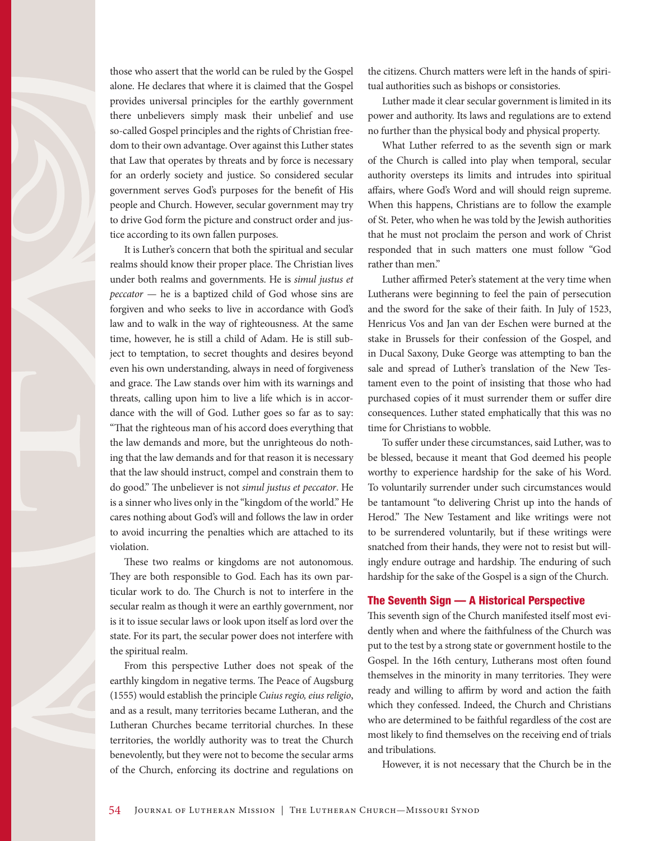those who assert that the world can be ruled by the Gospel alone. He declares that where it is claimed that the Gospel provides universal principles for the earthly government there unbelievers simply mask their unbelief and use so-called Gospel principles and the rights of Christian freedom to their own advantage. Over against this Luther states that Law that operates by threats and by force is necessary for an orderly society and justice. So considered secular government serves God's purposes for the benefit of His people and Church. However, secular government may try to drive God form the picture and construct order and justice according to its own fallen purposes.

It is Luther's concern that both the spiritual and secular realms should know their proper place. The Christian lives under both realms and governments. He is simul justus et peccator — he is a baptized child of God whose sins are forgiven and who seeks to live in accordance with God's law and to walk in the way of righteousness. At the same time, however, he is still a child of Adam. He is still subject to temptation, to secret thoughts and desires beyond even his own understanding, always in need of forgiveness and grace. The Law stands over him with its warnings and threats, calling upon him to live a life which is in accordance with the will of God. Luther goes so far as to say: "That the righteous man of his accord does everything that the law demands and more, but the unrighteous do nothing that the law demands and for that reason it is necessary that the law should instruct, compel and constrain them to do good." The unbeliever is not simul justus et peccator. He is a sinner who lives only in the "kingdom of the world." He cares nothing about God's will and follows the law in order to avoid incurring the penalties which are attached to its violation.

These two realms or kingdoms are not autonomous. They are both responsible to God. Each has its own particular work to do. The Church is not to interfere in the secular realm as though it were an earthly government, nor is it to issue secular laws or look upon itself as lord over the state. For its part, the secular power does not interfere with the spiritual realm.

From this perspective Luther does not speak of the earthly kingdom in negative terms. The Peace of Augsburg (1555) would establish the principle Cuius regio, eius religio, and as a result, many territories became Lutheran, and the Lutheran Churches became territorial churches. In these territories, the worldly authority was to treat the Church benevolently, but they were not to become the secular arms of the Church, enforcing its doctrine and regulations on

the citizens. Church matters were left in the hands of spiritual authorities such as bishops or consistories.

Luther made it clear secular government is limited in its power and authority. Its laws and regulations are to extend no further than the physical body and physical property.

What Luther referred to as the seventh sign or mark of the Church is called into play when temporal, secular authority oversteps its limits and intrudes into spiritual affairs, where God's Word and will should reign supreme. When this happens, Christians are to follow the example of St. Peter, who when he was told by the Jewish authorities that he must not proclaim the person and work of Christ responded that in such matters one must follow "God rather than men."

Luther affirmed Peter's statement at the very time when Lutherans were beginning to feel the pain of persecution and the sword for the sake of their faith. In July of 1523, Henricus Vos and Jan van der Eschen were burned at the stake in Brussels for their confession of the Gospel, and in Ducal Saxony, Duke George was attempting to ban the sale and spread of Luther's translation of the New Testament even to the point of insisting that those who had purchased copies of it must surrender them or suffer dire consequences. Luther stated emphatically that this was no time for Christians to wobble.

To suffer under these circumstances, said Luther, was to be blessed, because it meant that God deemed his people worthy to experience hardship for the sake of his Word. To voluntarily surrender under such circumstances would be tantamount "to delivering Christ up into the hands of Herod." The New Testament and like writings were not to be surrendered voluntarily, but if these writings were snatched from their hands, they were not to resist but willingly endure outrage and hardship. The enduring of such hardship for the sake of the Gospel is a sign of the Church.

#### The Seventh Sign — A Historical Perspective

This seventh sign of the Church manifested itself most evidently when and where the faithfulness of the Church was put to the test by a strong state or government hostile to the Gospel. In the 16th century, Lutherans most often found themselves in the minority in many territories. They were ready and willing to affirm by word and action the faith which they confessed. Indeed, the Church and Christians who are determined to be faithful regardless of the cost are most likely to find themselves on the receiving end of trials and tribulations.

However, it is not necessary that the Church be in the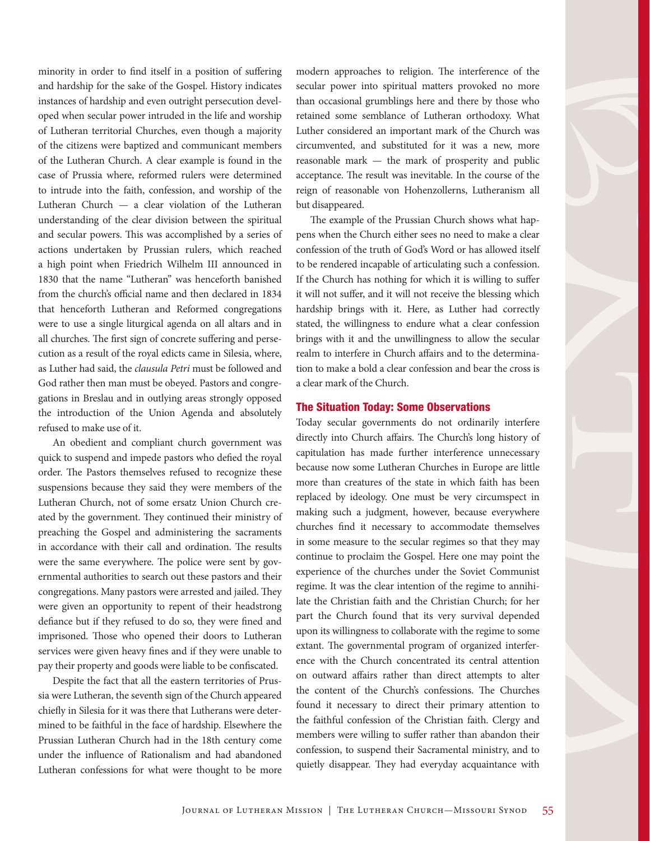minority in order to find itself in a position of suffering and hardship for the sake of the Gospel. History indicates instances of hardship and even outright persecution developed when secular power intruded in the life and worship of Lutheran territorial Churches, even though a majority of the citizens were baptized and communicant members of the Lutheran Church. A clear example is found in the case of Prussia where, reformed rulers were determined to intrude into the faith, confession, and worship of the Lutheran Church — a clear violation of the Lutheran understanding of the clear division between the spiritual and secular powers. This was accomplished by a series of actions undertaken by Prussian rulers, which reached a high point when Friedrich Wilhelm III announced in 1830 that the name "Lutheran" was henceforth banished from the church's official name and then declared in 1834 that henceforth Lutheran and Reformed congregations were to use a single liturgical agenda on all altars and in all churches. The first sign of concrete suffering and persecution as a result of the royal edicts came in Silesia, where, as Luther had said, the clausula Petri must be followed and God rather then man must be obeyed. Pastors and congregations in Breslau and in outlying areas strongly opposed the introduction of the Union Agenda and absolutely refused to make use of it.

An obedient and compliant church government was quick to suspend and impede pastors who defied the royal order. The Pastors themselves refused to recognize these suspensions because they said they were members of the Lutheran Church, not of some ersatz Union Church created by the government. They continued their ministry of preaching the Gospel and administering the sacraments in accordance with their call and ordination. The results were the same everywhere. The police were sent by governmental authorities to search out these pastors and their congregations. Many pastors were arrested and jailed. They were given an opportunity to repent of their headstrong defiance but if they refused to do so, they were fined and imprisoned. Those who opened their doors to Lutheran services were given heavy fines and if they were unable to pay their property and goods were liable to be confiscated.

Despite the fact that all the eastern territories of Prussia were Lutheran, the seventh sign of the Church appeared chiefly in Silesia for it was there that Lutherans were determined to be faithful in the face of hardship. Elsewhere the Prussian Lutheran Church had in the 18th century come under the influence of Rationalism and had abandoned Lutheran confessions for what were thought to be more modern approaches to religion. The interference of the secular power into spiritual matters provoked no more than occasional grumblings here and there by those who retained some semblance of Lutheran orthodoxy. What Luther considered an important mark of the Church was circumvented, and substituted for it was a new, more reasonable mark — the mark of prosperity and public acceptance. The result was inevitable. In the course of the reign of reasonable von Hohenzollerns, Lutheranism all but disappeared.

The example of the Prussian Church shows what happens when the Church either sees no need to make a clear confession of the truth of God's Word or has allowed itself to be rendered incapable of articulating such a confession. If the Church has nothing for which it is willing to suffer it will not suffer, and it will not receive the blessing which hardship brings with it. Here, as Luther had correctly stated, the willingness to endure what a clear confession brings with it and the unwillingness to allow the secular realm to interfere in Church affairs and to the determination to make a bold a clear confession and bear the cross is a clear mark of the Church.

#### The Situation Today: Some Observations

Today secular governments do not ordinarily interfere directly into Church affairs. The Church's long history of capitulation has made further interference unnecessary because now some Lutheran Churches in Europe are little more than creatures of the state in which faith has been replaced by ideology. One must be very circumspect in making such a judgment, however, because everywhere churches find it necessary to accommodate themselves in some measure to the secular regimes so that they may continue to proclaim the Gospel. Here one may point the experience of the churches under the Soviet Communist regime. It was the clear intention of the regime to annihilate the Christian faith and the Christian Church; for her part the Church found that its very survival depended upon its willingness to collaborate with the regime to some extant. The governmental program of organized interference with the Church concentrated its central attention on outward affairs rather than direct attempts to alter the content of the Church's confessions. The Churches found it necessary to direct their primary attention to the faithful confession of the Christian faith. Clergy and members were willing to suffer rather than abandon their confession, to suspend their Sacramental ministry, and to quietly disappear. They had everyday acquaintance with